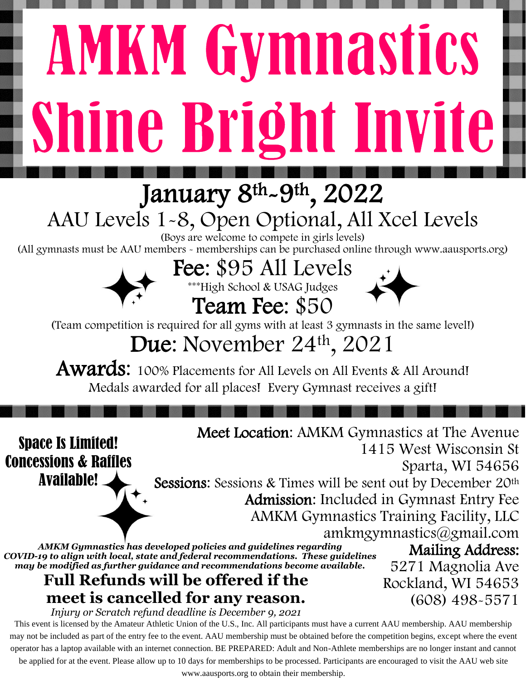# **AMKM Gymnastics** Shine Bright Invite

## January 8<sup>th</sup>-9<sup>th</sup>, 2022

# AAU Levels 1-8, Open Optional, All Xcel Levels

(Boys are welcome to compete in girls levels)

(All gymnasts must be AAU members - memberships can be purchased online through www.aausports.org)

#### Fee: \$95 All Levels \*\*\*High School & USAG Judges



(Team competition is required for all gyms with at least 3 gymnasts in the same level!)

Team Fee: \$50

### Due: November 24<sup>th</sup>, 2021

**Awards:** 100% Placements for All Levels on All Events & All Around! Medals awarded for all places! Every Gymnast receives a gift!

Space Is Limited! Concessions & Raffles Available!

Meet Location: AMKM Gymnastics at The Avenue 1415 West Wisconsin St Sparta, WI 54656 Sessions: Sessions & Times will be sent out by December 20<sup>th</sup> Admission: Included in Gymnast Entry Fee AMKM Gymnastics Training Facility, LLC

[amkmgymnastics@gmail.com](mailto:amkmgymnastics@gmail.com) *AMKM Gy[mnastics has deve](https://www.google.com/url?sa=i&url=https%3A%2F%2Fwww.123rf.com%2Fclipart-vector%2Fgloss.html&psig=AOvVaw0i1HaodwZNqnynFBwGp4A6&ust=1597162289935000&source=images&cd=vfe&ved=0CAIQjRxqFwoTCODHn6uDkesCFQAAAAAdAAAAABAJ)loped policies and guidelines regarding COVID-19 to align with local, state and federal recommendations. These guidelines may be modified as further guidance and recommendations become available.*

#### **Full Refunds will be offered if the meet is cancelled for any reason.**

Mailing Address: 5271 Magnolia Ave Rockland, WI 54653 (608) 498-5571

*Injury or Scratch refund deadline is December 9, 2021*

This event is licensed by the Amateur Athletic Union of the U.S., Inc. All participants must have a current AAU membership. AAU membership may not be included as part of the entry fee to the event. AAU membership must be obtained before the competition begins, except where the event operator has a laptop available with an internet connection. BE PREPARED: Adult and Non-Athlete memberships are no longer instant and cannot

be applied for at the event. Please allow up to 10 days for memberships to be processed. Participants are encouraged to visit the AAU web site

www.aausports.org to obtain their membership.